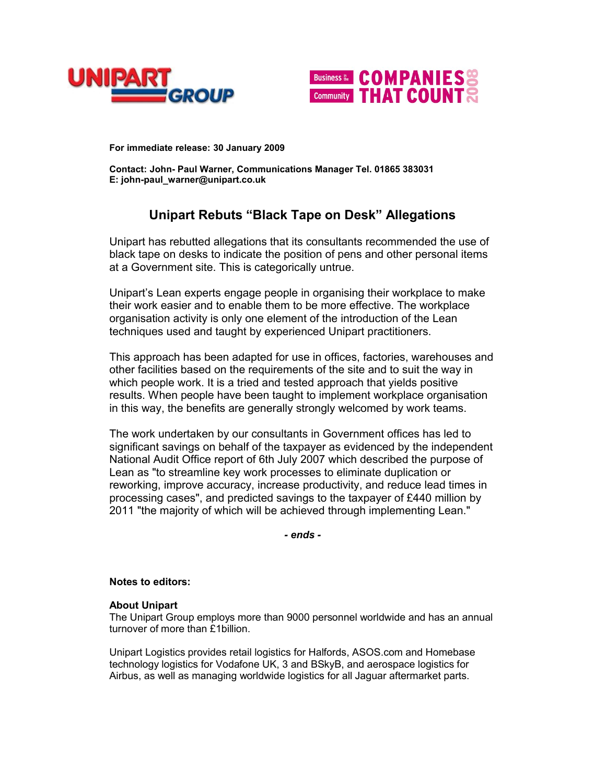



**For immediate release: 30 January 2009**

**Contact: John- Paul Warner, Communications Manager Tel. 01865 383031 E: john-paul\_warner@unipart.co.uk**

## **Unipart Rebuts "Black Tape on Desk" Allegations**

Unipart has rebutted allegations that its consultants recommended the use of black tape on desks to indicate the position of pens and other personal items at a Government site. This is categorically untrue.

Unipart's Lean experts engage people in organising their workplace to make their work easier and to enable them to be more effective. The workplace organisation activity is only one element of the introduction of the Lean techniques used and taught by experienced Unipart practitioners.

This approach has been adapted for use in offices, factories, warehouses and other facilities based on the requirements of the site and to suit the way in which people work. It is a tried and tested approach that yields positive results. When people have been taught to implement workplace organisation in this way, the benefits are generally strongly welcomed by work teams.

The work undertaken by our consultants in Government offices has led to significant savings on behalf of the taxpayer as evidenced by the independent National Audit Office report of 6th July 2007 which described the purpose of Lean as "to streamline key work processes to eliminate duplication or reworking, improve accuracy, increase productivity, and reduce lead times in processing cases", and predicted savings to the taxpayer of £440 million by 2011 "the majority of which will be achieved through implementing Lean."

*- ends -*

## **Notes to editors:**

## **About Unipart**

The Unipart Group employs more than 9000 personnel worldwide and has an annual turnover of more than £1billion.

Unipart Logistics provides retail logistics for Halfords, ASOS.com and Homebase technology logistics for Vodafone UK, 3 and BSkyB, and aerospace logistics for Airbus, as well as managing worldwide logistics for all Jaguar aftermarket parts.